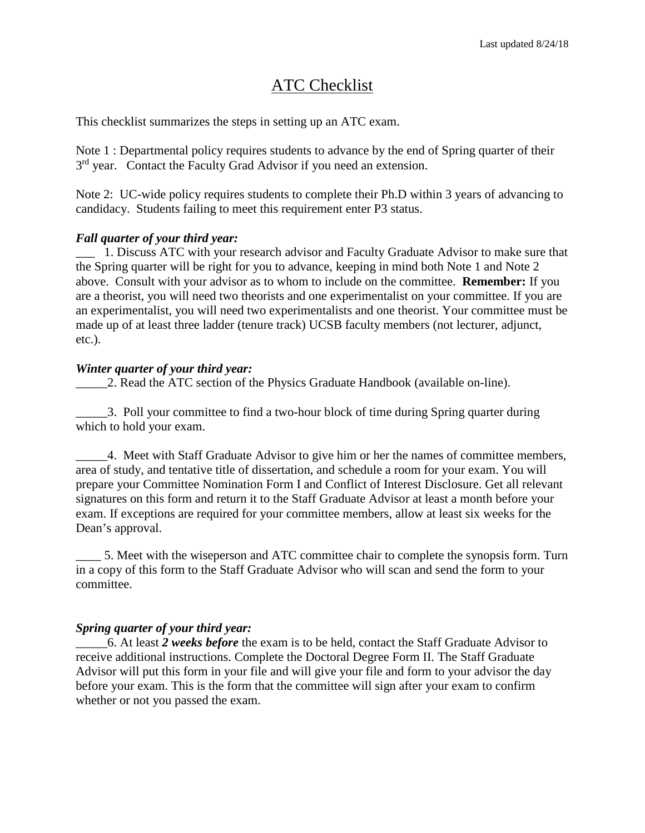## ATC Checklist

This checklist summarizes the steps in setting up an ATC exam.

Note 1 : Departmental policy requires students to advance by the end of Spring quarter of their 3<sup>rd</sup> year. Contact the Faculty Grad Advisor if you need an extension.

Note 2: UC-wide policy requires students to complete their Ph.D within 3 years of advancing to candidacy. Students failing to meet this requirement enter P3 status.

## *Fall quarter of your third year:*

\_\_\_ 1. Discuss ATC with your research advisor and Faculty Graduate Advisor to make sure that the Spring quarter will be right for you to advance, keeping in mind both Note 1 and Note 2 above. Consult with your advisor as to whom to include on the committee. **Remember:** If you are a theorist, you will need two theorists and one experimentalist on your committee. If you are an experimentalist, you will need two experimentalists and one theorist. Your committee must be made up of at least three ladder (tenure track) UCSB faculty members (not lecturer, adjunct, etc.).

## *Winter quarter of your third year:*

2. Read the ATC section of the Physics Graduate Handbook (available on-line).

\_\_\_\_\_3. Poll your committee to find a two-hour block of time during Spring quarter during which to hold your exam.

\_\_\_\_\_4. Meet with Staff Graduate Advisor to give him or her the names of committee members, area of study, and tentative title of dissertation, and schedule a room for your exam. You will prepare your Committee Nomination Form I and Conflict of Interest Disclosure. Get all relevant signatures on this form and return it to the Staff Graduate Advisor at least a month before your exam. If exceptions are required for your committee members, allow at least six weeks for the Dean's approval.

\_\_\_\_ 5. Meet with the wiseperson and ATC committee chair to complete the synopsis form. Turn in a copy of this form to the Staff Graduate Advisor who will scan and send the form to your committee.

## *Spring quarter of your third year:*

\_\_\_\_\_6. At least *2 weeks before* the exam is to be held, contact the Staff Graduate Advisor to receive additional instructions. Complete the Doctoral Degree Form II. The Staff Graduate Advisor will put this form in your file and will give your file and form to your advisor the day before your exam. This is the form that the committee will sign after your exam to confirm whether or not you passed the exam.